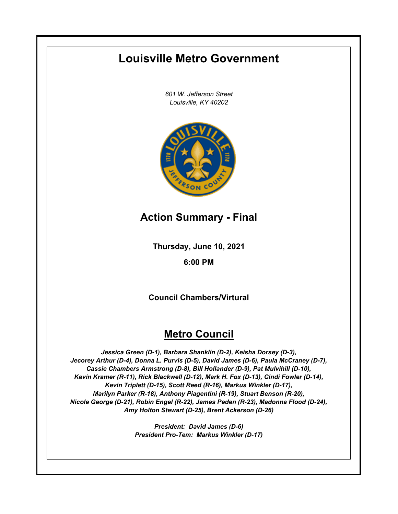# **Louisville Metro Government**

*601 W. Jefferson Street Louisville, KY 40202*



# **Action Summary - Final**

**Thursday, June 10, 2021**

# **6:00 PM**

**Council Chambers/Virtural**

# **Metro Council**

*Jessica Green (D-1), Barbara Shanklin (D-2), Keisha Dorsey (D-3), Jecorey Arthur (D-4), Donna L. Purvis (D-5), David James (D-6), Paula McCraney (D-7), Cassie Chambers Armstrong (D-8), Bill Hollander (D-9), Pat Mulvihill (D-10), Kevin Kramer (R-11), Rick Blackwell (D-12), Mark H. Fox (D-13), Cindi Fowler (D-14), Kevin Triplett (D-15), Scott Reed (R-16), Markus Winkler (D-17), Marilyn Parker (R-18), Anthony Piagentini (R-19), Stuart Benson (R-20), Nicole George (D-21), Robin Engel (R-22), James Peden (R-23), Madonna Flood (D-24), Amy Holton Stewart (D-25), Brent Ackerson (D-26)*

> *President: David James (D-6) President Pro-Tem: Markus Winkler (D-17)*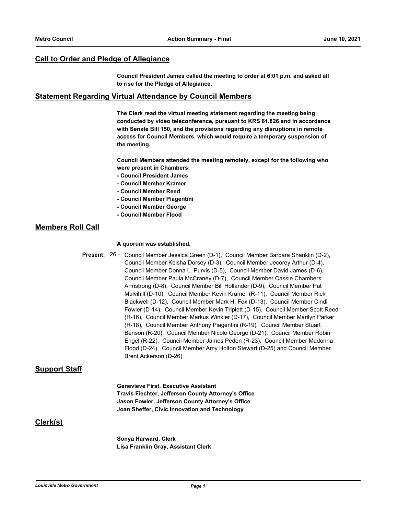## **Call to Order and Pledge of Allegiance**

**Council President James called the meeting to order at 6:01 p.m. and asked all to rise for the Pledge of Allegiance.**

#### **Statement Regarding Virtual Attendance by Council Members**

**The Clerk read the virtual meeting statement regarding the meeting being conducted by video teleconference, pursuant to KRS 61.826 and in accordance with Senate Bill 150, and the provisions regarding any disruptions in remote access for Council Members, which would require a temporary suspension of the meeting.**

**Council Members attended the meeting remotely, except for the following who were present in Chambers:**

- **Council President James**
- **Council Member Kramer**
- **Council Member Reed**
- **Council Member Piagentini**
- **Council Member George**
- **Council Member Flood**

#### **Members Roll Call**

#### **A quorum was established.**

Present: 26 - Council Member Jessica Green (D-1), Council Member Barbara Shanklin (D-2), Council Member Keisha Dorsey (D-3), Council Member Jecorey Arthur (D-4), Council Member Donna L. Purvis (D-5), Council Member David James (D-6), Council Member Paula McCraney (D-7), Council Member Cassie Chambers Armstrong (D-8), Council Member Bill Hollander (D-9), Council Member Pat Mulvihill (D-10), Council Member Kevin Kramer (R-11), Council Member Rick Blackwell (D-12), Council Member Mark H. Fox (D-13), Council Member Cindi Fowler (D-14), Council Member Kevin Triplett (D-15), Council Member Scott Reed (R-16), Council Member Markus Winkler (D-17), Council Member Marilyn Parker (R-18), Council Member Anthony Piagentini (R-19), Council Member Stuart Benson (R-20), Council Member Nicole George (D-21), Council Member Robin Engel (R-22), Council Member James Peden (R-23), Council Member Madonna Flood (D-24), Council Member Amy Holton Stewart (D-25) and Council Member Brent Ackerson (D-26)

#### **Support Staff**

**Genevieve First, Executive Assistant Travis Fiechter, Jefferson County Attorney's Office Jason Fowler, Jefferson County Attorney's Office Joan Sheffer, Civic Innovation and Technology**

# **Clerk(s)**

**Sonya Harward, Clerk Lisa Franklin Gray, Assistant Clerk**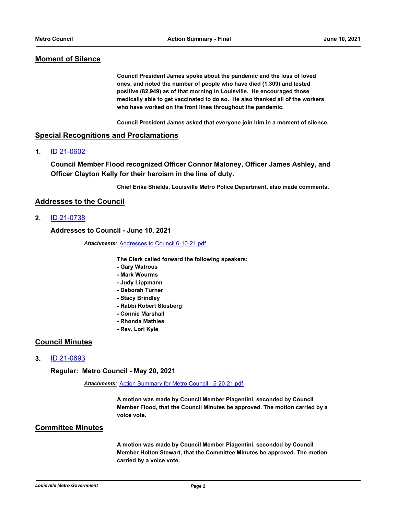# **Moment of Silence**

**Council President James spoke about the pandemic and the loss of loved ones, and noted the number of people who have died (1,309) and tested positive (82,949) as of that morning in Louisville. He encouraged those medically able to get vaccinated to do so. He also thanked all of the workers who have worked on the front lines throughout the pandemic.** 

**Council President James asked that everyone join him in a moment of silence.**

#### **Special Recognitions and Proclamations**

**1.** [ID 21-0602](http://louisville.legistar.com/gateway.aspx?m=l&id=/matter.aspx?key=56055)

**Council Member Flood recognized Officer Connor Maloney, Officer James Ashley, and Officer Clayton Kelly for their heroism in the line of duty.**

**Chief Erika Shields, Louisville Metro Police Department, also made comments.**

#### **Addresses to the Council**

**2.** [ID 21-0738](http://louisville.legistar.com/gateway.aspx?m=l&id=/matter.aspx?key=56240)

**Addresses to Council - June 10, 2021**

*Attachments:* [Addresses to Council 6-10-21.pdf](http://louisville.legistar.com/gateway.aspx?M=F&ID=69d58f66-9e90-4515-8b2a-0ba954827042.pdf)

**The Clerk called forward the following speakers:**

- **Gary Watrous**
- **Mark Wourms**
- **Judy Lippmann**
- **Deborah Turner**
- **Stacy Brindley**
- **Rabbi Robert Slosberg**
- **Connie Marshall**
- **Rhonda Mathies**
- **Rev. Lori Kyle**

# **Council Minutes**

**3.** [ID 21-0693](http://louisville.legistar.com/gateway.aspx?m=l&id=/matter.aspx?key=56174)

**Regular: Metro Council - May 20, 2021**

*Attachments:* [Action Summary for Metro Council - 5-20-21.pdf](http://louisville.legistar.com/gateway.aspx?M=F&ID=31897465-884e-4e47-b5bf-3e4e8b873036.pdf)

**A motion was made by Council Member Piagentini, seconded by Council Member Flood, that the Council Minutes be approved. The motion carried by a voice vote.**

# **Committee Minutes**

**A motion was made by Council Member Piagentini, seconded by Council Member Holton Stewart, that the Committee Minutes be approved. The motion carried by a voice vote.**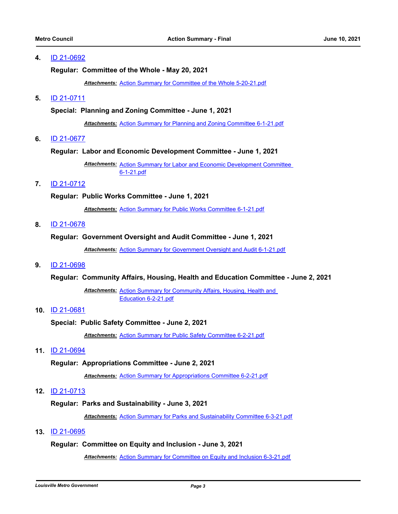**Regular: Committee of the Whole - May 20, 2021**

*Attachments:* [Action Summary for Committee of the Whole 5-20-21.pdf](http://louisville.legistar.com/gateway.aspx?M=F&ID=6857265a-4176-4f19-8eb9-b975e563d34a.pdf)

**5.** [ID 21-0711](http://louisville.legistar.com/gateway.aspx?m=l&id=/matter.aspx?key=56194)

#### **Special: Planning and Zoning Committee - June 1, 2021**

*Attachments:* [Action Summary for Planning and Zoning Committee 6-1-21.pdf](http://louisville.legistar.com/gateway.aspx?M=F&ID=92557cb9-1e2b-4287-b5b1-4cfb106a445f.pdf)

**6.** [ID 21-0677](http://louisville.legistar.com/gateway.aspx?m=l&id=/matter.aspx?key=56158)

#### **Regular: Labor and Economic Development Committee - June 1, 2021**

Attachments: Action Summary for Labor and Economic Development Committee 6-1-21.pdf

## **7.** [ID 21-0712](http://louisville.legistar.com/gateway.aspx?m=l&id=/matter.aspx?key=56195)

#### **Regular: Public Works Committee - June 1, 2021**

*Attachments:* [Action Summary for Public Works Committee 6-1-21.pdf](http://louisville.legistar.com/gateway.aspx?M=F&ID=b8505d7e-860f-47db-aaba-d195d4bd7b21.pdf)

**8.** [ID 21-0678](http://louisville.legistar.com/gateway.aspx?m=l&id=/matter.aspx?key=56159)

#### **Regular: Government Oversight and Audit Committee - June 1, 2021**

*Attachments:* [Action Summary for Government Oversight and Audit 6-1-21.pdf](http://louisville.legistar.com/gateway.aspx?M=F&ID=0ecb8b8c-b770-4b63-8279-66961f01656b.pdf)

**9.** [ID 21-0698](http://louisville.legistar.com/gateway.aspx?m=l&id=/matter.aspx?key=56180)

**Regular: Community Affairs, Housing, Health and Education Committee - June 2, 2021**

Attachments: Action Summary for Community Affairs, Housing, Health and Education 6-2-21.pdf

**10.** [ID 21-0681](http://louisville.legistar.com/gateway.aspx?m=l&id=/matter.aspx?key=56162)

#### **Special: Public Safety Committee - June 2, 2021**

*Attachments:* [Action Summary for Public Safety Committee 6-2-21.pdf](http://louisville.legistar.com/gateway.aspx?M=F&ID=969ff48e-67b7-4d47-852e-700c8137883a.pdf)

**11.** [ID 21-0694](http://louisville.legistar.com/gateway.aspx?m=l&id=/matter.aspx?key=56176)

#### **Regular: Appropriations Committee - June 2, 2021**

*Attachments:* [Action Summary for Appropriations Committee 6-2-21.pdf](http://louisville.legistar.com/gateway.aspx?M=F&ID=0e1679a3-a413-4604-b7dd-6f5b4a6dbf17.pdf)

**12.** [ID 21-0713](http://louisville.legistar.com/gateway.aspx?m=l&id=/matter.aspx?key=56196)

#### **Regular: Parks and Sustainability - June 3, 2021**

*Attachments:* [Action Summary for Parks and Sustainability Committee 6-3-21.pdf](http://louisville.legistar.com/gateway.aspx?M=F&ID=f6f1e92f-1db0-495a-8805-07670b171923.pdf)

#### **13.** [ID 21-0695](http://louisville.legistar.com/gateway.aspx?m=l&id=/matter.aspx?key=56177)

#### **Regular: Committee on Equity and Inclusion - June 3, 2021**

*Attachments:* [Action Summary for Committee on Equity and Inclusion 6-3-21.pdf](http://louisville.legistar.com/gateway.aspx?M=F&ID=bddc9e06-ccd8-4dfa-b7ed-e5aa1b468e5c.pdf)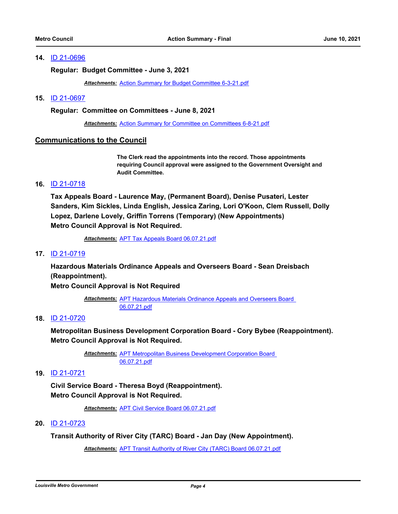**Regular: Budget Committee - June 3, 2021**

*Attachments:* [Action Summary for Budget Committee 6-3-21.pdf](http://louisville.legistar.com/gateway.aspx?M=F&ID=fcc0020c-5880-482e-a15a-33b93a41647d.pdf)

#### **15.** [ID 21-0697](http://louisville.legistar.com/gateway.aspx?m=l&id=/matter.aspx?key=56179)

**Regular: Committee on Committees - June 8, 2021**

*Attachments:* [Action Summary for Committee on Committees 6-8-21.pdf](http://louisville.legistar.com/gateway.aspx?M=F&ID=79dd0f88-a50c-447c-b2a5-f33f567b7f04.pdf)

#### **Communications to the Council**

**The Clerk read the appointments into the record. Those appointments requiring Council approval were assigned to the Government Oversight and Audit Committee.**

#### **16.** [ID 21-0718](http://louisville.legistar.com/gateway.aspx?m=l&id=/matter.aspx?key=56203)

**Tax Appeals Board - Laurence May, (Permanent Board), Denise Pusateri, Lester Sanders, Kim Sickles, Linda English, Jessica Zaring, Lori O'Koon, Clem Russell, Dolly Lopez, Darlene Lovely, Griffin Torrens (Temporary) (New Appointments) Metro Council Approval is Not Required.**

*Attachments:* [APT Tax Appeals Board 06.07.21.pdf](http://louisville.legistar.com/gateway.aspx?M=F&ID=90516e05-cb99-45b9-9b23-b6cd40da6387.pdf)

#### **17.** [ID 21-0719](http://louisville.legistar.com/gateway.aspx?m=l&id=/matter.aspx?key=56204)

**Hazardous Materials Ordinance Appeals and Overseers Board - Sean Dreisbach (Reappointment).**

**Metro Council Approval is Not Required**

Attachments: APT Hazardous Materials Ordinance Appeals and Overseers Board 06.07.21.pdf

#### **18.** [ID 21-0720](http://louisville.legistar.com/gateway.aspx?m=l&id=/matter.aspx?key=56205)

**Metropolitan Business Development Corporation Board - Cory Bybee (Reappointment). Metro Council Approval is Not Required.**

> Attachments: **APT Metropolitan Business Development Corporation Board** 06.07.21.pdf

# **19.** [ID 21-0721](http://louisville.legistar.com/gateway.aspx?m=l&id=/matter.aspx?key=56206)

**Civil Service Board - Theresa Boyd (Reappointment). Metro Council Approval is Not Required.**

*Attachments:* [APT Civil Service Board 06.07.21.pdf](http://louisville.legistar.com/gateway.aspx?M=F&ID=924dffb3-f759-42ce-a338-35cca6d35c58.pdf)

#### **20.** [ID 21-0723](http://louisville.legistar.com/gateway.aspx?m=l&id=/matter.aspx?key=56208)

**Transit Authority of River City (TARC) Board - Jan Day (New Appointment).**

*Attachments:* [APT Transit Authority of River City \(TARC\) Board 06.07.21.pdf](http://louisville.legistar.com/gateway.aspx?M=F&ID=25bf341c-8166-4d5e-90fd-70ce8b17e3cc.pdf)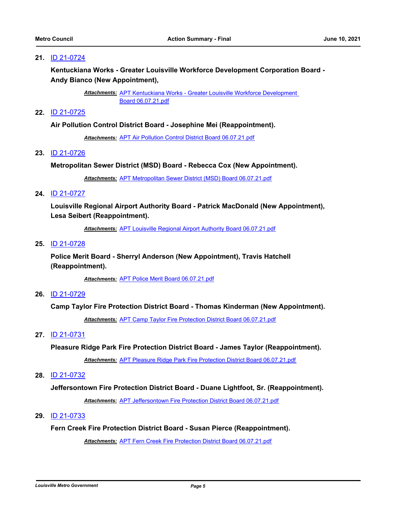**Kentuckiana Works - Greater Louisville Workforce Development Corporation Board - Andy Bianco (New Appointment),**

> Attachments: APT Kentuckiana Works - Greater Louisville Workforce Development Board 06.07.21.pdf

# **22.** [ID 21-0725](http://louisville.legistar.com/gateway.aspx?m=l&id=/matter.aspx?key=56210)

#### **Air Pollution Control District Board - Josephine Mei (Reappointment).**

*Attachments:* [APT Air Pollution Control District Board 06.07.21.pdf](http://louisville.legistar.com/gateway.aspx?M=F&ID=25ea7026-3a6e-4a29-8483-839569805905.pdf)

#### **23.** [ID 21-0726](http://louisville.legistar.com/gateway.aspx?m=l&id=/matter.aspx?key=56211)

#### **Metropolitan Sewer District (MSD) Board - Rebecca Cox (New Appointment).**

*Attachments:* [APT Metropolitan Sewer District \(MSD\) Board 06.07.21.pdf](http://louisville.legistar.com/gateway.aspx?M=F&ID=13dd470a-f211-4d7c-93a3-dfc954b8b603.pdf)

#### **24.** [ID 21-0727](http://louisville.legistar.com/gateway.aspx?m=l&id=/matter.aspx?key=56212)

**Louisville Regional Airport Authority Board - Patrick MacDonald (New Appointment), Lesa Seibert (Reappointment).**

*Attachments:* [APT Louisville Regional Airport Authority Board 06.07.21.pdf](http://louisville.legistar.com/gateway.aspx?M=F&ID=68823049-3d42-4a76-a607-e9c2965203e6.pdf)

# **25.** [ID 21-0728](http://louisville.legistar.com/gateway.aspx?m=l&id=/matter.aspx?key=56213)

**Police Merit Board - Sherryl Anderson (New Appointment), Travis Hatchell (Reappointment).**

*Attachments:* [APT Police Merit Board 06.07.21.pdf](http://louisville.legistar.com/gateway.aspx?M=F&ID=9ef1c825-c776-4737-9b17-45f18c5c3e21.pdf)

#### **26.** [ID 21-0729](http://louisville.legistar.com/gateway.aspx?m=l&id=/matter.aspx?key=56214)

#### **Camp Taylor Fire Protection District Board - Thomas Kinderman (New Appointment).**

*Attachments:* [APT Camp Taylor Fire Protection District Board 06.07.21.pdf](http://louisville.legistar.com/gateway.aspx?M=F&ID=624fdf38-02f2-4c93-aa2f-33ba9550c414.pdf)

#### **27.** [ID 21-0731](http://louisville.legistar.com/gateway.aspx?m=l&id=/matter.aspx?key=56217)

**Pleasure Ridge Park Fire Protection District Board - James Taylor (Reappointment).**

*Attachments:* [APT Pleasure Ridge Park Fire Protection District Board 06.07.21.pdf](http://louisville.legistar.com/gateway.aspx?M=F&ID=86379df5-52f0-4f65-8156-c94240c7ae15.pdf)

#### **28.** [ID 21-0732](http://louisville.legistar.com/gateway.aspx?m=l&id=/matter.aspx?key=56219)

**Jeffersontown Fire Protection District Board - Duane Lightfoot, Sr. (Reappointment).**

*Attachments:* [APT Jeffersontown Fire Protection District Board 06.07.21.pdf](http://louisville.legistar.com/gateway.aspx?M=F&ID=dcaf79ff-1d45-47d4-b816-c0ec67b7e879.pdf)

# **29.** [ID 21-0733](http://louisville.legistar.com/gateway.aspx?m=l&id=/matter.aspx?key=56222)

# **Fern Creek Fire Protection District Board - Susan Pierce (Reappointment).**

*Attachments:* [APT Fern Creek Fire Protection District Board 06.07.21.pdf](http://louisville.legistar.com/gateway.aspx?M=F&ID=a66680f8-d722-4669-87e8-41ec96ec7b9c.pdf)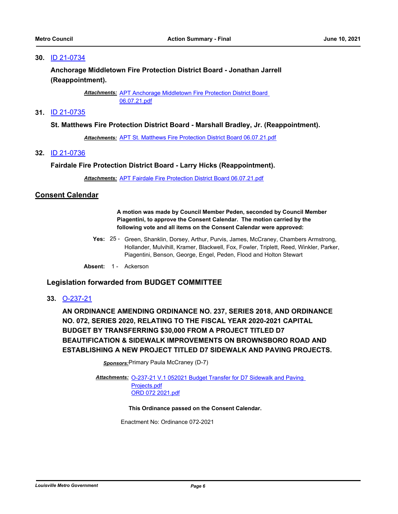**Anchorage Middletown Fire Protection District Board - Jonathan Jarrell (Reappointment).**

> Attachments: APT Anchorage Middletown Fire Protection District Board 06.07.21.pdf

# **31.** [ID 21-0735](http://louisville.legistar.com/gateway.aspx?m=l&id=/matter.aspx?key=56226)

#### **St. Matthews Fire Protection District Board - Marshall Bradley, Jr. (Reappointment).**

*Attachments:* [APT St. Matthews Fire Protection District Board 06.07.21.pdf](http://louisville.legistar.com/gateway.aspx?M=F&ID=17d64c14-ecd3-4fd6-846f-6a260339cb68.pdf)

**32.** [ID 21-0736](http://louisville.legistar.com/gateway.aspx?m=l&id=/matter.aspx?key=56227)

#### **Fairdale Fire Protection District Board - Larry Hicks (Reappointment).**

*Attachments:* [APT Fairdale Fire Protection District Board 06.07.21.pdf](http://louisville.legistar.com/gateway.aspx?M=F&ID=ff72229c-b4b2-4c45-9e07-885e0209f3e3.pdf)

#### **Consent Calendar**

**A motion was made by Council Member Peden, seconded by Council Member Piagentini, to approve the Consent Calendar. The motion carried by the following vote and all items on the Consent Calendar were approved:**

Yes: 25 - Green, Shanklin, Dorsey, Arthur, Purvis, James, McCraney, Chambers Armstrong, Hollander, Mulvihill, Kramer, Blackwell, Fox, Fowler, Triplett, Reed, Winkler, Parker, Piagentini, Benson, George, Engel, Peden, Flood and Holton Stewart

Absent: 1 - Ackerson

# **Legislation forwarded from BUDGET COMMITTEE**

**33.** [O-237-21](http://louisville.legistar.com/gateway.aspx?m=l&id=/matter.aspx?key=56064)

**AN ORDINANCE AMENDING ORDINANCE NO. 237, SERIES 2018, AND ORDINANCE NO. 072, SERIES 2020, RELATING TO THE FISCAL YEAR 2020-2021 CAPITAL BUDGET BY TRANSFERRING \$30,000 FROM A PROJECT TITLED D7 BEAUTIFICATION & SIDEWALK IMPROVEMENTS ON BROWNSBORO ROAD AND ESTABLISHING A NEW PROJECT TITLED D7 SIDEWALK AND PAVING PROJECTS.**

**Sponsors: Primary Paula McCraney (D-7)** 

Attachments: O-237-21 V.1 052021 Budget Transfer for D7 Sidewalk and Paving Projects.pdf [ORD 072 2021.pdf](http://louisville.legistar.com/gateway.aspx?M=F&ID=02e19eec-bb52-4302-9274-d339adc27bcc.pdf)

**This Ordinance passed on the Consent Calendar.**

Enactment No: Ordinance 072-2021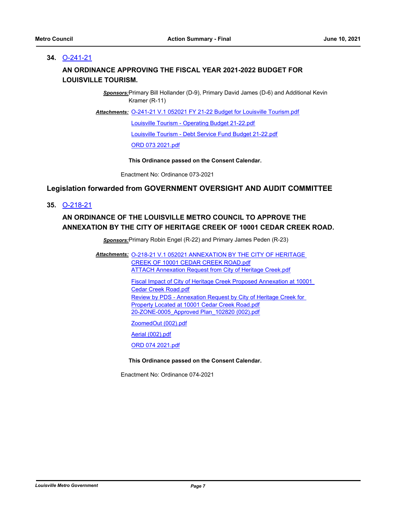# **34.** [O-241-21](http://louisville.legistar.com/gateway.aspx?m=l&id=/matter.aspx?key=56079)

# **AN ORDINANCE APPROVING THE FISCAL YEAR 2021-2022 BUDGET FOR LOUISVILLE TOURISM.**

*Sponsors:*Primary Bill Hollander (D-9), Primary David James (D-6) and Additional Kevin Kramer (R-11)

Attachments: [O-241-21 V.1 052021 FY 21-22 Budget for Louisville Tourism.pdf](http://louisville.legistar.com/gateway.aspx?M=F&ID=aaa96d56-91c0-46a7-bc1f-fa8afa8dbe07.pdf)

[Louisville Tourism - Operating Budget 21-22.pdf](http://louisville.legistar.com/gateway.aspx?M=F&ID=a326c073-2ec2-4462-9bce-8f60e0e090a5.pdf) [Louisville Tourism - Debt Service Fund Budget 21-22.pdf](http://louisville.legistar.com/gateway.aspx?M=F&ID=624ea65a-ecca-4281-99e2-b3a95c0d7cdd.pdf)

[ORD 073 2021.pdf](http://louisville.legistar.com/gateway.aspx?M=F&ID=aa712668-7694-4005-9786-b2efa648537f.pdf)

**This Ordinance passed on the Consent Calendar.**

Enactment No: Ordinance 073-2021

# **Legislation forwarded from GOVERNMENT OVERSIGHT AND AUDIT COMMITTEE**

**35.** [O-218-21](http://louisville.legistar.com/gateway.aspx?m=l&id=/matter.aspx?key=56007)

# **AN ORDINANCE OF THE LOUISVILLE METRO COUNCIL TO APPROVE THE ANNEXATION BY THE CITY OF HERITAGE CREEK OF 10001 CEDAR CREEK ROAD.**

*Sponsors:*Primary Robin Engel (R-22) and Primary James Peden (R-23)

Attachments: 0-218-21 V.1 052021 ANNEXATION BY THE CITY OF HERITAGE CREEK OF 10001 CEDAR CREEK ROAD.pdf [ATTACH Annexation Request from City of Heritage Creek.pdf](http://louisville.legistar.com/gateway.aspx?M=F&ID=fc737bf0-b70a-496d-89f4-028b4d1a82be.pdf)

> [Fiscal Impact of City of Heritage Creek Proposed Annexation at 10001](http://louisville.legistar.com/gateway.aspx?M=F&ID=43546d43-e918-4de1-ac14-63fef4c3cc36.pdf)  Cedar Creek Road.pdf [Review by PDS - Annexation Request by City of Heritage Creek for](http://louisville.legistar.com/gateway.aspx?M=F&ID=c9f2cb57-b1e8-4712-8048-83cc2e97d458.pdf)  Property Located at 10001 Cedar Creek Road.pdf [20-ZONE-0005\\_Approved Plan\\_102820 \(002\).pdf](http://louisville.legistar.com/gateway.aspx?M=F&ID=22693f34-136f-4a8f-990e-a00da8401095.pdf)

[ZoomedOut \(002\).pdf](http://louisville.legistar.com/gateway.aspx?M=F&ID=6676e40c-9106-45db-9bfe-97b81c9a4bf3.pdf)

[Aerial \(002\).pdf](http://louisville.legistar.com/gateway.aspx?M=F&ID=18fa5473-e62d-4e86-8246-8b35177fd861.pdf)

[ORD 074 2021.pdf](http://louisville.legistar.com/gateway.aspx?M=F&ID=3fe16278-c686-42c0-932c-3cf548d03dd4.pdf)

#### **This Ordinance passed on the Consent Calendar.**

Enactment No: Ordinance 074-2021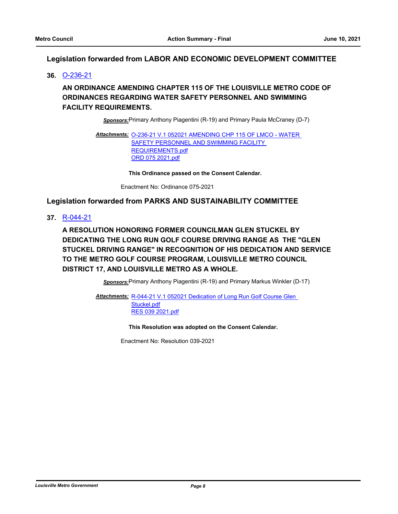# **Legislation forwarded from LABOR AND ECONOMIC DEVELOPMENT COMMITTEE**

**36.** [O-236-21](http://louisville.legistar.com/gateway.aspx?m=l&id=/matter.aspx?key=56061)

# **AN ORDINANCE AMENDING CHAPTER 115 OF THE LOUISVILLE METRO CODE OF ORDINANCES REGARDING WATER SAFETY PERSONNEL AND SWIMMING FACILITY REQUIREMENTS.**

*Sponsors:*Primary Anthony Piagentini (R-19) and Primary Paula McCraney (D-7)

Attachments: 0-236-21 V.1 052021 AMENDING CHP 115 OF LMCO - WATER **SAFETY PERSONNEL AND SWIMMING FACILITY** REQUIREMENTS.pdf [ORD 075 2021.pdf](http://louisville.legistar.com/gateway.aspx?M=F&ID=a70bd88a-274a-4a6d-87af-433ae49268f9.pdf)

**This Ordinance passed on the Consent Calendar.**

Enactment No: Ordinance 075-2021

# **Legislation forwarded from PARKS AND SUSTAINABILITY COMMITTEE**

**37.** [R-044-21](http://louisville.legistar.com/gateway.aspx?m=l&id=/matter.aspx?key=56062)

**A RESOLUTION HONORING FORMER COUNCILMAN GLEN STUCKEL BY DEDICATING THE LONG RUN GOLF COURSE DRIVING RANGE AS THE "GLEN STUCKEL DRIVING RANGE" IN RECOGNITION OF HIS DEDICATION AND SERVICE TO THE METRO GOLF COURSE PROGRAM, LOUISVILLE METRO COUNCIL DISTRICT 17, AND LOUISVILLE METRO AS A WHOLE.**

*Sponsors:*Primary Anthony Piagentini (R-19) and Primary Markus Winkler (D-17)

Attachments: R-044-21 V.1 052021 Dedication of Long Run Golf Course Glen Stuckel.pdf [RES 039 2021.pdf](http://louisville.legistar.com/gateway.aspx?M=F&ID=21426e64-baf5-4896-b43e-83b345dbd614.pdf)

**This Resolution was adopted on the Consent Calendar.**

Enactment No: Resolution 039-2021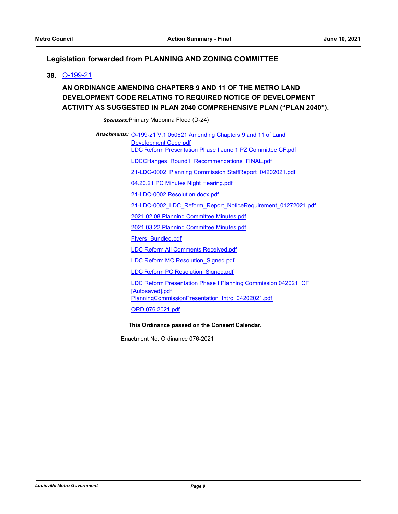# **Legislation forwarded from PLANNING AND ZONING COMMITTEE**

**38.** [O-199-21](http://louisville.legistar.com/gateway.aspx?m=l&id=/matter.aspx?key=55958)

# **AN ORDINANCE AMENDING CHAPTERS 9 AND 11 OF THE METRO LAND DEVELOPMENT CODE RELATING TO REQUIRED NOTICE OF DEVELOPMENT ACTIVITY AS SUGGESTED IN PLAN 2040 COMPREHENSIVE PLAN ("PLAN 2040").**

*Sponsors:*Primary Madonna Flood (D-24)

Attachments: O-199-21 V.1 050621 Amending Chapters 9 and 11 of Land Development Code.pdf [LDC Reform Presentation Phase I June 1 PZ Committee CF.pdf](http://louisville.legistar.com/gateway.aspx?M=F&ID=0e6e3c92-0327-4b85-883b-d38641e69b3f.pdf) [LDCCHanges\\_Round1\\_Recommendations\\_FINAL.pdf](http://louisville.legistar.com/gateway.aspx?M=F&ID=79a1f8f8-5967-4df8-b392-77854acdb7bc.pdf) [21-LDC-0002\\_Planning Commission StaffReport\\_04202021.pdf](http://louisville.legistar.com/gateway.aspx?M=F&ID=57478b8f-023d-477d-8bba-be166e8026f5.pdf) [04.20.21 PC Minutes Night Hearing.pdf](http://louisville.legistar.com/gateway.aspx?M=F&ID=b2ea5a58-b24a-482a-bdaf-6c2dd851bea8.pdf) [21-LDC-0002 Resolution.docx.pdf](http://louisville.legistar.com/gateway.aspx?M=F&ID=54cd8258-9a8d-4205-b7ab-f3a95cfd5f3e.pdf) [21-LDC-0002\\_LDC\\_Reform\\_Report\\_NoticeRequirement\\_01272021.pdf](http://louisville.legistar.com/gateway.aspx?M=F&ID=2492c710-b868-44c4-af82-dba5b92fa735.pdf) [2021.02.08 Planning Committee Minutes.pdf](http://louisville.legistar.com/gateway.aspx?M=F&ID=f738018a-54ab-472d-befa-d44906f2e7de.pdf) [2021.03.22 Planning Committee Minutes.pdf](http://louisville.legistar.com/gateway.aspx?M=F&ID=256dd047-89e6-4f55-be74-1034f2220f0a.pdf) [Flyers\\_Bundled.pdf](http://louisville.legistar.com/gateway.aspx?M=F&ID=1e02cbc4-b62f-4393-ab66-6cc1d67d8ff9.pdf) [LDC Reform All Comments Received.pdf](http://louisville.legistar.com/gateway.aspx?M=F&ID=7638cdbe-1562-482c-810a-8a81cb849b3e.pdf) [LDC Reform MC Resolution\\_Signed.pdf](http://louisville.legistar.com/gateway.aspx?M=F&ID=c2579c3d-fa4b-4f2c-aa78-b200c0ad6cc4.pdf) LDC Reform PC Resolution Signed.pdf [LDC Reform Presentation Phase I Planning Commission 042021\\_CF](http://louisville.legistar.com/gateway.aspx?M=F&ID=24a533a6-8c72-4e69-829b-9efd4e8b09ba.pdf)  [Autosaved].pdf [PlanningCommissionPresentation\\_Intro\\_04202021.pdf](http://louisville.legistar.com/gateway.aspx?M=F&ID=7b92809a-bbc2-4271-9e4a-56b9a049e628.pdf) [ORD 076 2021.pdf](http://louisville.legistar.com/gateway.aspx?M=F&ID=32941776-af4c-4a03-939d-94f6b4ea5f53.pdf)

**This Ordinance passed on the Consent Calendar.**

Enactment No: Ordinance 076-2021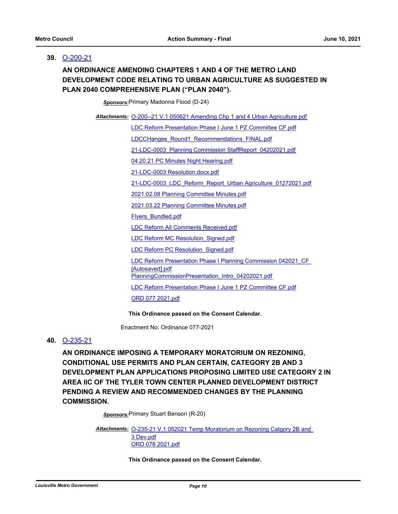#### **39.** [O-200-21](http://louisville.legistar.com/gateway.aspx?m=l&id=/matter.aspx?key=55962)

# **AN ORDINANCE AMENDING CHAPTERS 1 AND 4 OF THE METRO LAND DEVELOPMENT CODE RELATING TO URBAN AGRICULTURE AS SUGGESTED IN PLAN 2040 COMPREHENSIVE PLAN ("PLAN 2040").**

*Sponsors:*Primary Madonna Flood (D-24)

Attachments: [O-200--21 V.1 050621 Amending Chp 1 and 4 Urban Agriculture.pdf](http://louisville.legistar.com/gateway.aspx?M=F&ID=0917762e-b234-4761-999e-c9f41d04fee0.pdf)

[LDC Reform Presentation Phase I June 1 PZ Committee CF.pdf](http://louisville.legistar.com/gateway.aspx?M=F&ID=f51c292a-2603-433c-afea-023418acfd8e.pdf)

[LDCCHanges\\_Round1\\_Recommendations\\_FINAL.pdf](http://louisville.legistar.com/gateway.aspx?M=F&ID=c20bb029-56e5-4513-b579-4a0d2c0ae023.pdf)

[21-LDC-0003\\_Planning Commission StaffReport\\_04202021.pdf](http://louisville.legistar.com/gateway.aspx?M=F&ID=3efb5a7d-7946-4091-816c-ce8cbe67e07c.pdf)

[04.20.21 PC Minutes Night Hearing.pdf](http://louisville.legistar.com/gateway.aspx?M=F&ID=0b4785ac-252a-4ee5-9d9f-93877daf7d91.pdf)

[21-LDC-0003 Resolution.docx.pdf](http://louisville.legistar.com/gateway.aspx?M=F&ID=963cabfb-53b3-4435-88f6-93d13ab8eb30.pdf)

[21-LDC-0003\\_LDC\\_Reform\\_Report\\_Urban Agriculture\\_01272021.pdf](http://louisville.legistar.com/gateway.aspx?M=F&ID=94e8579e-2092-42de-a7d7-1e7ae191d9c2.pdf)

[2021.02.08 Planning Committee Minutes.pdf](http://louisville.legistar.com/gateway.aspx?M=F&ID=58cc797e-7c63-45a8-94cd-3b62b1ec516c.pdf)

[2021.03.22 Planning Committee Minutes.pdf](http://louisville.legistar.com/gateway.aspx?M=F&ID=4ddd14fa-023a-4805-96c3-83505f9eb263.pdf)

[Flyers\\_Bundled.pdf](http://louisville.legistar.com/gateway.aspx?M=F&ID=65b2dc9c-f182-4658-9f3e-4636d57e1faa.pdf)

[LDC Reform All Comments Received.pdf](http://louisville.legistar.com/gateway.aspx?M=F&ID=dfc5985f-720a-41bf-ba62-83cf438b7d2f.pdf)

LDC Reform MC Resolution Signed.pdf

LDC Reform PC Resolution Signed.pdf

[LDC Reform Presentation Phase I Planning Commission 042021\\_CF](http://louisville.legistar.com/gateway.aspx?M=F&ID=ebb8c642-75b6-4e2f-a117-ee9dd478e33f.pdf) 

[Autosaved].pdf

[PlanningCommissionPresentation\\_Intro\\_04202021.pdf](http://louisville.legistar.com/gateway.aspx?M=F&ID=7b0e8aeb-df13-45cd-a55a-29e56f128e3e.pdf)

[LDC Reform Presentation Phase I June 1 PZ Committee CF.pdf](http://louisville.legistar.com/gateway.aspx?M=F&ID=4c8e244b-3b36-49fd-8095-e4f236ad6431.pdf)

[ORD 077 2021.pdf](http://louisville.legistar.com/gateway.aspx?M=F&ID=b43eebc7-1333-40b8-9f33-cbe4e7b1ee2d.pdf)

#### **This Ordinance passed on the Consent Calendar.**

Enactment No: Ordinance 077-2021

## **40.** [O-235-21](http://louisville.legistar.com/gateway.aspx?m=l&id=/matter.aspx?key=56056)

**AN ORDINANCE IMPOSING A TEMPORARY MORATORIUM ON REZONING, CONDITIONAL USE PERMITS AND PLAN CERTAIN, CATEGORY 2B AND 3 DEVELOPMENT PLAN APPLICATIONS PROPOSING LIMITED USE CATEGORY 2 IN AREA IIC OF THE TYLER TOWN CENTER PLANNED DEVELOPMENT DISTRICT PENDING A REVIEW AND RECOMMENDED CHANGES BY THE PLANNING COMMISSION.**

*Sponsors:*Primary Stuart Benson (R-20)

Attachments: O-235-21 V.1 052021 Temp Moratorium on Rezoning Catgory 2B and 3 Dev.pdf [ORD 078 2021.pdf](http://louisville.legistar.com/gateway.aspx?M=F&ID=c2f41ddd-b072-4ad9-bb42-8c07322c42a5.pdf)

**This Ordinance passed on the Consent Calendar.**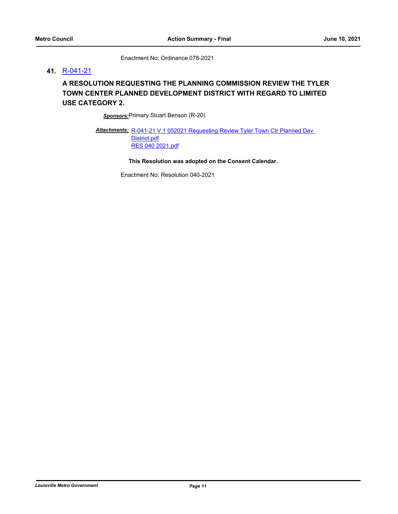Enactment No: Ordinance 078-2021

#### **41.** [R-041-21](http://louisville.legistar.com/gateway.aspx?m=l&id=/matter.aspx?key=56057)

# **A RESOLUTION REQUESTING THE PLANNING COMMISSION REVIEW THE TYLER TOWN CENTER PLANNED DEVELOPMENT DISTRICT WITH REGARD TO LIMITED USE CATEGORY 2.**

*Sponsors:*Primary Stuart Benson (R-20)

Attachments: R-041-21 V.1 052021 Requesting Review Tyler Town Ctr Planned Dev District.pdf [RES 040 2021.pdf](http://louisville.legistar.com/gateway.aspx?M=F&ID=f2a982fd-3d24-41d6-9cd5-74860b511dc9.pdf)

**This Resolution was adopted on the Consent Calendar.**

Enactment No: Resolution 040-2021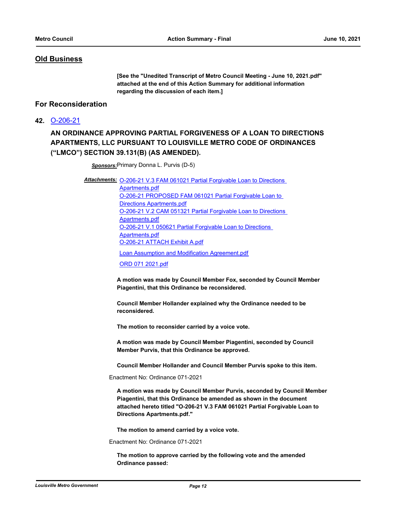# **Old Business**

**[See the "Unedited Transcript of Metro Council Meeting - June 10, 2021.pdf" attached at the end of this Action Summary for additional information regarding the discussion of each item.]**

# **For Reconsideration**

**42.** [O-206-21](http://louisville.legistar.com/gateway.aspx?m=l&id=/matter.aspx?key=55983)

# **AN ORDINANCE APPROVING PARTIAL FORGIVENESS OF A LOAN TO DIRECTIONS APARTMENTS, LLC PURSUANT TO LOUISVILLE METRO CODE OF ORDINANCES ("LMCO") SECTION 39.131(B) (AS AMENDED).**

*Sponsors:*Primary Donna L. Purvis (D-5)

Attachments: **O-206-21 V.3 FAM 061021 Partial Forgivable Loan to Directions** 

Apartments.pdf [O-206-21 PROPOSED FAM 061021 Partial Forgivable Loan to](http://louisville.legistar.com/gateway.aspx?M=F&ID=0cb19a39-3319-4123-a5ca-412584187834.pdf)  Directions Apartments.pdf [O-206-21 V.2 CAM 051321 Partial Forgivable Loan to Directions](http://louisville.legistar.com/gateway.aspx?M=F&ID=204bda34-1688-4305-a805-9fac9664a3f0.pdf)  Apartments.pdf [O-206-21 V.1 050621 Partial Forgivable Loan to Directions](http://louisville.legistar.com/gateway.aspx?M=F&ID=f51606e2-6285-48ae-bd54-2fef27d16b18.pdf)  Apartments.pdf [O-206-21 ATTACH Exhibit A.pdf](http://louisville.legistar.com/gateway.aspx?M=F&ID=ade051c2-aed8-4bdb-a124-df2067d7ff2c.pdf)

[Loan Assumption and Modification Agreement.pdf](http://louisville.legistar.com/gateway.aspx?M=F&ID=79c6f2bc-8015-432f-88af-87f6dba1fe9c.pdf)

[ORD 071 2021.pdf](http://louisville.legistar.com/gateway.aspx?M=F&ID=21cf572f-dce6-45b4-9185-f8d760c40ae0.pdf)

**A motion was made by Council Member Fox, seconded by Council Member Piagentini, that this Ordinance be reconsidered.** 

**Council Member Hollander explained why the Ordinance needed to be reconsidered.** 

**The motion to reconsider carried by a voice vote.** 

**A motion was made by Council Member Piagentini, seconded by Council Member Purvis, that this Ordinance be approved.** 

**Council Member Hollander and Council Member Purvis spoke to this item.**

Enactment No: Ordinance 071-2021

**A motion was made by Council Member Purvis, seconded by Council Member Piagentini, that this Ordinance be amended as shown in the document attached hereto titled "O-206-21 V.3 FAM 061021 Partial Forgivable Loan to Directions Apartments.pdf."**

**The motion to amend carried by a voice vote.**

Enactment No: Ordinance 071-2021

**The motion to approve carried by the following vote and the amended Ordinance passed:**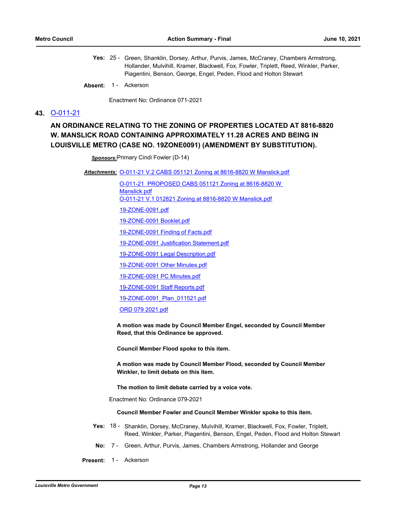- Yes: 25 Green, Shanklin, Dorsey, Arthur, Purvis, James, McCraney, Chambers Armstrong, Hollander, Mulvihill, Kramer, Blackwell, Fox, Fowler, Triplett, Reed, Winkler, Parker, Piagentini, Benson, George, Engel, Peden, Flood and Holton Stewart
- Absent: 1 Ackerson

Enactment No: Ordinance 071-2021

#### **43.** [O-011-21](http://louisville.legistar.com/gateway.aspx?m=l&id=/matter.aspx?key=55040)

# **AN ORDINANCE RELATING TO THE ZONING OF PROPERTIES LOCATED AT 8816-8820 W. MANSLICK ROAD CONTAINING APPROXIMATELY 11.28 ACRES AND BEING IN LOUISVILLE METRO (CASE NO. 19ZONE0091) (AMENDMENT BY SUBSTITUTION).**

*Sponsors:*Primary Cindi Fowler (D-14)

Attachments: [O-011-21 V.2 CABS 051121 Zoning at 8616-8820 W Manslick.pdf](http://louisville.legistar.com/gateway.aspx?M=F&ID=c86d5f08-875f-492a-8c72-d6534717c9d8.pdf)

[O-011-21 PROPOSED CABS 051121 Zoning at 8616-8820 W](http://louisville.legistar.com/gateway.aspx?M=F&ID=e6453bd6-f17b-4907-af3c-8aed48e092af.pdf)  Manslick.pdf [O-011-21 V.1 012821 Zoning at 8816-8820 W Manslick.pdf](http://louisville.legistar.com/gateway.aspx?M=F&ID=45d505ac-daae-4aed-87e1-11002ac6ef8d.pdf) [19-ZONE-0091.pdf](http://louisville.legistar.com/gateway.aspx?M=F&ID=e3a414ac-aa59-4013-9739-5cab44d2ac94.pdf) [19-ZONE-0091 Booklet.pdf](http://louisville.legistar.com/gateway.aspx?M=F&ID=f7b30a50-6ddb-47f3-ac76-cee5808c366d.pdf) [19-ZONE-0091 Finding of Facts.pdf](http://louisville.legistar.com/gateway.aspx?M=F&ID=a53c87b4-1ce4-4037-a93e-df2f4c9ce451.pdf) [19-ZONE-0091 Justification Statement.pdf](http://louisville.legistar.com/gateway.aspx?M=F&ID=29ee98b5-1994-4d7e-9d5d-bb41a973df7e.pdf) [19-ZONE-0091 Legal Description.pdf](http://louisville.legistar.com/gateway.aspx?M=F&ID=43172f65-7f95-4c1c-b6ca-7db289e72da9.pdf) [19-ZONE-0091 Other Minutes.pdf](http://louisville.legistar.com/gateway.aspx?M=F&ID=7d6bac0e-e715-4c1e-8c8f-abe61363c79c.pdf) [19-ZONE-0091 PC Minutes.pdf](http://louisville.legistar.com/gateway.aspx?M=F&ID=5e18e465-b862-4ca4-a1e0-b515c5df3249.pdf) [19-ZONE-0091 Staff Reports.pdf](http://louisville.legistar.com/gateway.aspx?M=F&ID=cb96c6cf-5d58-4c3b-a4c3-b2b16ebf76aa.pdf) [19-ZONE-0091\\_Plan\\_011521.pdf](http://louisville.legistar.com/gateway.aspx?M=F&ID=fa80e635-c1d4-4419-85a8-762affdd8259.pdf) [ORD 079 2021.pdf](http://louisville.legistar.com/gateway.aspx?M=F&ID=ed7b7383-611a-4096-904c-2ecb76ec9c62.pdf)

**A motion was made by Council Member Engel, seconded by Council Member Reed, that this Ordinance be approved.** 

**Council Member Flood spoke to this item.** 

**A motion was made by Council Member Flood, seconded by Council Member Winkler, to limit debate on this item.** 

**The motion to limit debate carried by a voice vote.**

Enactment No: Ordinance 079-2021

#### **Council Member Fowler and Council Member Winkler spoke to this item.**

- Yes: 18 Shanklin, Dorsey, McCraney, Mulvihill, Kramer, Blackwell, Fox, Fowler, Triplett, Reed, Winkler, Parker, Piagentini, Benson, Engel, Peden, Flood and Holton Stewart
- **No:** 7 Green, Arthur, Purvis, James, Chambers Armstrong, Hollander and George
- Present: 1 Ackerson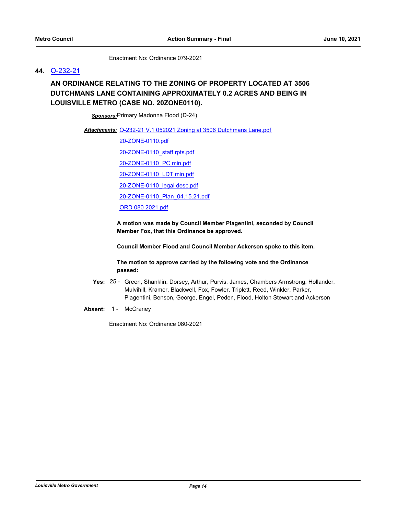Enactment No: Ordinance 079-2021

#### **44.** [O-232-21](http://louisville.legistar.com/gateway.aspx?m=l&id=/matter.aspx?key=56049)

# **AN ORDINANCE RELATING TO THE ZONING OF PROPERTY LOCATED AT 3506 DUTCHMANS LANE CONTAINING APPROXIMATELY 0.2 ACRES AND BEING IN LOUISVILLE METRO (CASE NO. 20ZONE0110).**

*Sponsors:*Primary Madonna Flood (D-24)

Attachments: [O-232-21 V.1 052021 Zoning at 3506 Dutchmans Lane.pdf](http://louisville.legistar.com/gateway.aspx?M=F&ID=d8ca3c51-5367-4d28-812d-71daad22e04b.pdf)

[20-ZONE-0110.pdf](http://louisville.legistar.com/gateway.aspx?M=F&ID=cce1f96f-b0d3-47bd-a74c-cfbe35446a25.pdf) [20-ZONE-0110\\_staff rpts.pdf](http://louisville.legistar.com/gateway.aspx?M=F&ID=331dc204-afeb-4278-880b-758799d125ff.pdf) [20-ZONE-0110\\_PC min.pdf](http://louisville.legistar.com/gateway.aspx?M=F&ID=8983f915-3a01-4b91-b47c-f5aa2e983003.pdf) [20-ZONE-0110\\_LDT min.pdf](http://louisville.legistar.com/gateway.aspx?M=F&ID=9310b73b-064a-4214-a510-ac8e3c67e9d7.pdf) [20-ZONE-0110\\_legal desc.pdf](http://louisville.legistar.com/gateway.aspx?M=F&ID=bf361fda-b105-4a3c-9cd7-b6e9f1edb88a.pdf) [20-ZONE-0110\\_Plan\\_04.15.21.pdf](http://louisville.legistar.com/gateway.aspx?M=F&ID=a2811459-1c67-4bcc-a21f-c3de44c1fe16.pdf) [ORD 080 2021.pdf](http://louisville.legistar.com/gateway.aspx?M=F&ID=578fd6ef-2b95-428a-8f51-49ab3a53d5cc.pdf)

**A motion was made by Council Member Piagentini, seconded by Council Member Fox, that this Ordinance be approved.** 

**Council Member Flood and Council Member Ackerson spoke to this item.** 

**The motion to approve carried by the following vote and the Ordinance passed:**

- Yes: 25 Green, Shanklin, Dorsey, Arthur, Purvis, James, Chambers Armstrong, Hollander, Mulvihill, Kramer, Blackwell, Fox, Fowler, Triplett, Reed, Winkler, Parker, Piagentini, Benson, George, Engel, Peden, Flood, Holton Stewart and Ackerson
- Absent: 1 McCraney

Enactment No: Ordinance 080-2021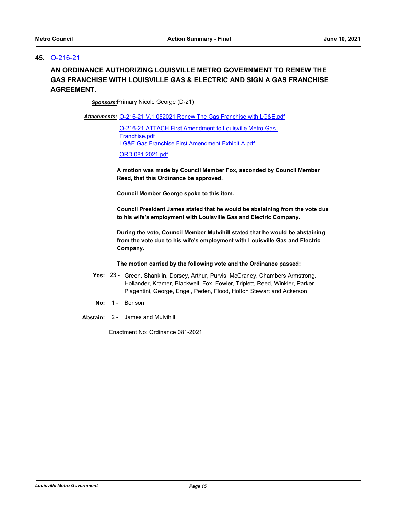## **45.** [O-216-21](http://louisville.legistar.com/gateway.aspx?m=l&id=/matter.aspx?key=56002)

# **AN ORDINANCE AUTHORIZING LOUISVILLE METRO GOVERNMENT TO RENEW THE GAS FRANCHISE WITH LOUISVILLE GAS & ELECTRIC AND SIGN A GAS FRANCHISE AGREEMENT.**

*Sponsors:*Primary Nicole George (D-21)

Attachments: [O-216-21 V.1 052021 Renew The Gas Franchise with LG&E.pdf](http://louisville.legistar.com/gateway.aspx?M=F&ID=c0bb81a6-8a27-4299-88fc-dcff976fab62.pdf)

[O-216-21 ATTACH First Amendment to Louisville Metro Gas](http://louisville.legistar.com/gateway.aspx?M=F&ID=d60cd3ec-7f0d-4ad9-89c3-3b8681415d10.pdf)  Franchise.pdf [LG&E Gas Franchise First Amendment Exhibit A.pdf](http://louisville.legistar.com/gateway.aspx?M=F&ID=eae07164-f590-4306-972a-4e0c5f4be8b7.pdf)

[ORD 081 2021.pdf](http://louisville.legistar.com/gateway.aspx?M=F&ID=7e4712b5-7073-41a6-8755-2ca33357b41d.pdf)

**A motion was made by Council Member Fox, seconded by Council Member Reed, that this Ordinance be approved.** 

**Council Member George spoke to this item.** 

**Council President James stated that he would be abstaining from the vote due to his wife's employment with Louisville Gas and Electric Company.** 

**During the vote, Council Member Mulvihill stated that he would be abstaining from the vote due to his wife's employment with Louisville Gas and Electric Company.** 

#### **The motion carried by the following vote and the Ordinance passed:**

- Yes: 23 Green, Shanklin, Dorsey, Arthur, Purvis, McCraney, Chambers Armstrong, Hollander, Kramer, Blackwell, Fox, Fowler, Triplett, Reed, Winkler, Parker, Piagentini, George, Engel, Peden, Flood, Holton Stewart and Ackerson
- No: 1 Benson
- **Abstain:** 2 James and Mulvihill

Enactment No: Ordinance 081-2021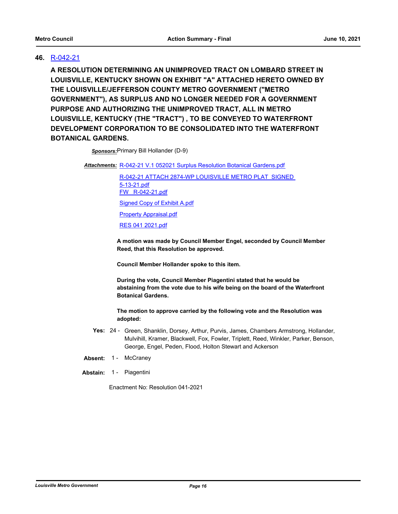# **46.** [R-042-21](http://louisville.legistar.com/gateway.aspx?m=l&id=/matter.aspx?key=56058)

**A RESOLUTION DETERMINING AN UNIMPROVED TRACT ON LOMBARD STREET IN LOUISVILLE, KENTUCKY SHOWN ON EXHIBIT "A" ATTACHED HERETO OWNED BY THE LOUISVILLE/JEFFERSON COUNTY METRO GOVERNMENT ("METRO GOVERNMENT"), AS SURPLUS AND NO LONGER NEEDED FOR A GOVERNMENT PURPOSE AND AUTHORIZING THE UNIMPROVED TRACT, ALL IN METRO LOUISVILLE, KENTUCKY (THE "TRACT") , TO BE CONVEYED TO WATERFRONT DEVELOPMENT CORPORATION TO BE CONSOLIDATED INTO THE WATERFRONT BOTANICAL GARDENS.**

*Sponsors:*Primary Bill Hollander (D-9)

Attachments: [R-042-21 V.1 052021 Surplus Resolution Botanical Gardens.pdf](http://louisville.legistar.com/gateway.aspx?M=F&ID=d215a9f0-a2b8-4fd0-92ab-175a52966845.pdf)

[R-042-21 ATTACH 2874-WP LOUISVILLE METRO PLAT SIGNED](http://louisville.legistar.com/gateway.aspx?M=F&ID=a619ebe1-1440-4e2b-b82c-7a3be0382c90.pdf)  5-13-21.pdf [FW\\_ R-042-21.pdf](http://louisville.legistar.com/gateway.aspx?M=F&ID=a28e45a6-22bc-4fad-a98e-0bd0b495cb33.pdf) [Signed Copy of Exhibit A.pdf](http://louisville.legistar.com/gateway.aspx?M=F&ID=17d59052-6169-492d-ab2a-9df02d99321b.pdf) [Property Appraisal.pdf](http://louisville.legistar.com/gateway.aspx?M=F&ID=1baa2ae7-80c0-48b3-ad4f-4ca45807789b.pdf) [RES 041 2021.pdf](http://louisville.legistar.com/gateway.aspx?M=F&ID=72fa37d0-8faf-4a80-b110-aeae695b1c85.pdf)

**A motion was made by Council Member Engel, seconded by Council Member Reed, that this Resolution be approved.** 

**Council Member Hollander spoke to this item.** 

**During the vote, Council Member Piagentini stated that he would be abstaining from the vote due to his wife being on the board of the Waterfront Botanical Gardens.** 

**The motion to approve carried by the following vote and the Resolution was adopted:**

- Yes: 24 Green, Shanklin, Dorsey, Arthur, Purvis, James, Chambers Armstrong, Hollander, Mulvihill, Kramer, Blackwell, Fox, Fowler, Triplett, Reed, Winkler, Parker, Benson, George, Engel, Peden, Flood, Holton Stewart and Ackerson
- Absent: 1 McCraney
- **Abstain:** 1 Piagentini

Enactment No: Resolution 041-2021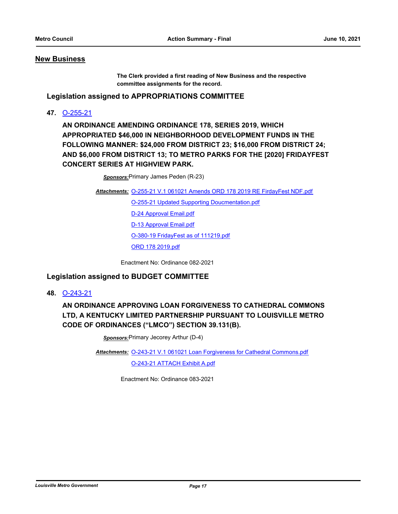#### **New Business**

**The Clerk provided a first reading of New Business and the respective committee assignments for the record.**

**Legislation assigned to APPROPRIATIONS COMMITTEE**

**47.** [O-255-21](http://louisville.legistar.com/gateway.aspx?m=l&id=/matter.aspx?key=56165)

**AN ORDINANCE AMENDING ORDINANCE 178, SERIES 2019, WHICH APPROPRIATED \$46,000 IN NEIGHBORHOOD DEVELOPMENT FUNDS IN THE FOLLOWING MANNER: \$24,000 FROM DISTRICT 23; \$16,000 FROM DISTRICT 24; AND \$6,000 FROM DISTRICT 13; TO METRO PARKS FOR THE [2020] FRIDAYFEST CONCERT SERIES AT HIGHVIEW PARK.**

*Sponsors:*Primary James Peden (R-23)

<u>Attachments: [O-255-21 V.1 061021 Amends ORD 178 2019 RE FirdayFest NDF.pdf](http://louisville.legistar.com/gateway.aspx?M=F&ID=15b94f78-ebb5-47ec-ac99-7b43bb55f58c.pdf)</u>

[O-255-21 Updated Supporting Doucmentation.pdf](http://louisville.legistar.com/gateway.aspx?M=F&ID=938d5dfa-777b-419d-9ae3-305c4793494c.pdf)

[D-24 Approval Email.pdf](http://louisville.legistar.com/gateway.aspx?M=F&ID=1755604b-e178-4c45-8cee-88636acf1ec3.pdf)

[D-13 Approval Email.pdf](http://louisville.legistar.com/gateway.aspx?M=F&ID=4d9ffa2b-e353-46e2-89f2-934c2b813c36.pdf)

[O-380-19 FridayFest as of 111219.pdf](http://louisville.legistar.com/gateway.aspx?M=F&ID=ecfcbb94-0d20-4ac5-946d-942cc0ccf781.pdf)

[ORD 178 2019.pdf](http://louisville.legistar.com/gateway.aspx?M=F&ID=54261694-b2f5-4b04-aed9-45f2434fb9e5.pdf)

Enactment No: Ordinance 082-2021

# **Legislation assigned to BUDGET COMMITTEE**

**48.** [O-243-21](http://louisville.legistar.com/gateway.aspx?m=l&id=/matter.aspx?key=56098)

**AN ORDINANCE APPROVING LOAN FORGIVENESS TO CATHEDRAL COMMONS LTD, A KENTUCKY LIMITED PARTNERSHIP PURSUANT TO LOUISVILLE METRO CODE OF ORDINANCES ("LMCO") SECTION 39.131(B).**

*Sponsors:*Primary Jecorey Arthur (D-4)

Attachments: [O-243-21 V.1 061021 Loan Forgiveness for Cathedral Commons.pdf](http://louisville.legistar.com/gateway.aspx?M=F&ID=4d6f5b63-aedd-4cc4-ac22-358a02873045.pdf)

[O-243-21 ATTACH Exhibit A.pdf](http://louisville.legistar.com/gateway.aspx?M=F&ID=aa4eb3cf-a27c-4a5c-a108-f537d551a7f3.pdf)

Enactment No: Ordinance 083-2021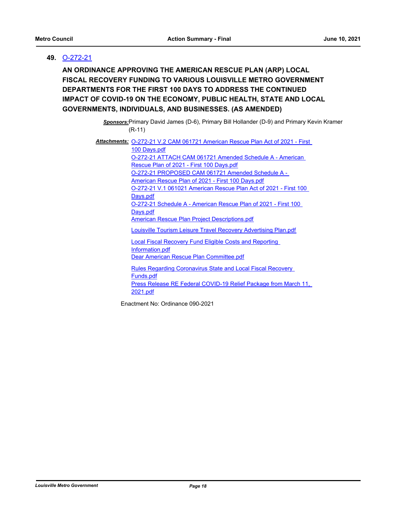# **49.** [O-272-21](http://louisville.legistar.com/gateway.aspx?m=l&id=/matter.aspx?key=56215)

**AN ORDINANCE APPROVING THE AMERICAN RESCUE PLAN (ARP) LOCAL FISCAL RECOVERY FUNDING TO VARIOUS LOUISVILLE METRO GOVERNMENT DEPARTMENTS FOR THE FIRST 100 DAYS TO ADDRESS THE CONTINUED IMPACT OF COVID-19 ON THE ECONOMY, PUBLIC HEALTH, STATE AND LOCAL GOVERNMENTS, INDIVIDUALS, AND BUSINESSES. (AS AMENDED)**

> *Sponsors:*Primary David James (D-6), Primary Bill Hollander (D-9) and Primary Kevin Kramer (R-11)

Attachments: **O-272-21 V.2 CAM 061721 American Rescue Plan Act of 2021 - First** 100 Days.pdf [O-272-21 ATTACH CAM 061721 Amended Schedule A - American](http://louisville.legistar.com/gateway.aspx?M=F&ID=00fdd38b-cc01-4ed5-81ad-a098f111e79d.pdf)  Rescue Plan of 2021 - First 100 Days.pdf [O-272-21 PROPOSED CAM 061721 Amended Schedule A -](http://louisville.legistar.com/gateway.aspx?M=F&ID=2ed329e6-566f-417b-8ea8-69c33bcfba08.pdf)  American Rescue Plan of 2021 - First 100 Days.pdf [O-272-21 V.1 061021 American Rescue Plan Act of 2021 - First 100](http://louisville.legistar.com/gateway.aspx?M=F&ID=a2516d2e-0fb1-4134-8734-f5a61d8dde88.pdf)  Days.pdf [O-272-21 Schedule A - American Rescue Plan of 2021 - First 100](http://louisville.legistar.com/gateway.aspx?M=F&ID=ef3cd520-ec17-46b8-97be-7afe8d286a2f.pdf)  Days.pdf [American Rescue Plan Project Descriptions.pdf](http://louisville.legistar.com/gateway.aspx?M=F&ID=548579d7-0114-42d0-abc7-eef427a4b948.pdf) [Louisville Tourism Leisure Travel Recovery Advertising Plan.pdf](http://louisville.legistar.com/gateway.aspx?M=F&ID=8d21d8c7-ed43-420f-ba08-95fb3b35337e.pdf) [Local Fiscal Recovery Fund Eligible Costs and Reporting](http://louisville.legistar.com/gateway.aspx?M=F&ID=0ebf979e-c38d-4c2d-8432-8e4ffc416413.pdf)  Information.pdf [Dear American Rescue Plan Committee.pdf](http://louisville.legistar.com/gateway.aspx?M=F&ID=821be1bd-7c69-4753-8e5c-6fcc1d303575.pdf) [Rules Regarding Coronavirus State and Local Fiscal Recovery](http://louisville.legistar.com/gateway.aspx?M=F&ID=9d50ce25-077b-4fc2-944c-f15ea19ed276.pdf)  Funds.pdf [Press Release RE Federal COVID-19 Relief Package from March 11,](http://louisville.legistar.com/gateway.aspx?M=F&ID=de630a2a-114e-4d59-8e92-36a43f12843e.pdf) 

Enactment No: Ordinance 090-2021

2021.pdf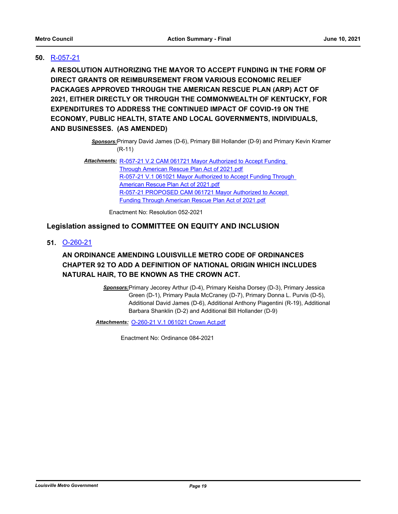# **50.** [R-057-21](http://louisville.legistar.com/gateway.aspx?m=l&id=/matter.aspx?key=56207)

**A RESOLUTION AUTHORIZING THE MAYOR TO ACCEPT FUNDING IN THE FORM OF DIRECT GRANTS OR REIMBURSEMENT FROM VARIOUS ECONOMIC RELIEF PACKAGES APPROVED THROUGH THE AMERICAN RESCUE PLAN (ARP) ACT OF 2021, EITHER DIRECTLY OR THROUGH THE COMMONWEALTH OF KENTUCKY, FOR EXPENDITURES TO ADDRESS THE CONTINUED IMPACT OF COVID-19 ON THE ECONOMY, PUBLIC HEALTH, STATE AND LOCAL GOVERNMENTS, INDIVIDUALS, AND BUSINESSES. (AS AMENDED)**

> *Sponsors:*Primary David James (D-6), Primary Bill Hollander (D-9) and Primary Kevin Kramer (R-11)

Attachments: R-057-21 V.2 CAM 061721 Mayor Authorized to Accept Funding Through American Rescue Plan Act of 2021.pdf [R-057-21 V.1 061021 Mayor Authorized to Accept Funding Through](http://louisville.legistar.com/gateway.aspx?M=F&ID=79af845a-782d-4fc4-979b-93dc70167ed6.pdf)  American Rescue Plan Act of 2021.pdf [R-057-21 PROPOSED CAM 061721 Mayor Authorized to Accept](http://louisville.legistar.com/gateway.aspx?M=F&ID=76ceed50-637a-46e3-a8cc-dd5475fd0cba.pdf)  Funding Through American Rescue Plan Act of 2021.pdf

Enactment No: Resolution 052-2021

# **Legislation assigned to COMMITTEE ON EQUITY AND INCLUSION**

**51.** [O-260-21](http://louisville.legistar.com/gateway.aspx?m=l&id=/matter.aspx?key=56199)

# **AN ORDINANCE AMENDING LOUISVILLE METRO CODE OF ORDINANCES CHAPTER 92 TO ADD A DEFINITION OF NATIONAL ORIGIN WHICH INCLUDES NATURAL HAIR, TO BE KNOWN AS THE CROWN ACT.**

*Sponsors:*Primary Jecorey Arthur (D-4), Primary Keisha Dorsey (D-3), Primary Jessica Green (D-1), Primary Paula McCraney (D-7), Primary Donna L. Purvis (D-5), Additional David James (D-6), Additional Anthony Piagentini (R-19), Additional Barbara Shanklin (D-2) and Additional Bill Hollander (D-9)

*Attachments:* [O-260-21 V.1 061021 Crown Act.pdf](http://louisville.legistar.com/gateway.aspx?M=F&ID=2bfd1c6c-9c1a-4691-8297-a0c19cada19f.pdf)

Enactment No: Ordinance 084-2021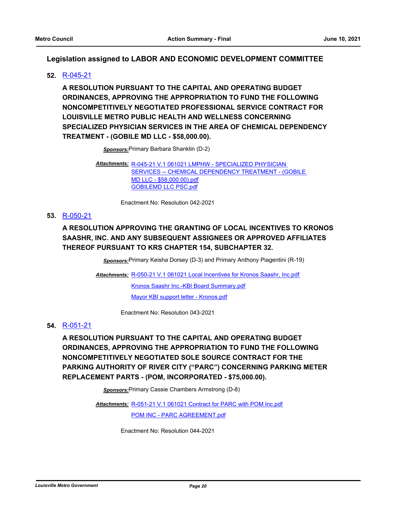# **Legislation assigned to LABOR AND ECONOMIC DEVELOPMENT COMMITTEE**

# **52.** [R-045-21](http://louisville.legistar.com/gateway.aspx?m=l&id=/matter.aspx?key=56099)

**A RESOLUTION PURSUANT TO THE CAPITAL AND OPERATING BUDGET ORDINANCES, APPROVING THE APPROPRIATION TO FUND THE FOLLOWING NONCOMPETITIVELY NEGOTIATED PROFESSIONAL SERVICE CONTRACT FOR LOUISVILLE METRO PUBLIC HEALTH AND WELLNESS CONCERNING SPECIALIZED PHYSICIAN SERVICES IN THE AREA OF CHEMICAL DEPENDENCY TREATMENT - (GOBILE MD LLC - \$58,000.00).**

*Sponsors:*Primary Barbara Shanklin (D-2)

R-045-21 V.1 061021 LMPHW - SPECIALIZED PHYSICIAN *Attachments:* SERVICES -- CHEMICAL DEPENDENCY TREATMENT - (GOBILE MD LLC - \$58,000.00).pdf [GOBILEMD LLC PSC.pdf](http://louisville.legistar.com/gateway.aspx?M=F&ID=e3bb6916-b5eb-4c73-a0db-9f758e5dc028.pdf)

Enactment No: Resolution 042-2021

# **53.** [R-050-21](http://louisville.legistar.com/gateway.aspx?m=l&id=/matter.aspx?key=56166)

# **A RESOLUTION APPROVING THE GRANTING OF LOCAL INCENTIVES TO KRONOS SAASHR, INC. AND ANY SUBSEQUENT ASSIGNEES OR APPROVED AFFILIATES THEREOF PURSUANT TO KRS CHAPTER 154, SUBCHAPTER 32.**

*Sponsors:*Primary Keisha Dorsey (D-3) and Primary Anthony Piagentini (R-19)

Attachments: [R-050-21 V.1 061021 Local Incentives for Kronos Saashr, Inc.pdf](http://louisville.legistar.com/gateway.aspx?M=F&ID=7ed412b2-74ba-4103-adf7-fdf21e2ad0c6.pdf) [Kronos Saashr Inc.-KBI Board Summary.pdf](http://louisville.legistar.com/gateway.aspx?M=F&ID=07ec5682-7e74-4ac3-b90f-378bf25c72d9.pdf) [Mayor KBI support letter - Kronos.pdf](http://louisville.legistar.com/gateway.aspx?M=F&ID=a5d2d8aa-1a5e-4c77-a18a-195d7a38861f.pdf)

Enactment No: Resolution 043-2021

# **54.** [R-051-21](http://louisville.legistar.com/gateway.aspx?m=l&id=/matter.aspx?key=56171)

**A RESOLUTION PURSUANT TO THE CAPITAL AND OPERATING BUDGET ORDINANCES, APPROVING THE APPROPRIATION TO FUND THE FOLLOWING NONCOMPETITIVELY NEGOTIATED SOLE SOURCE CONTRACT FOR THE PARKING AUTHORITY OF RIVER CITY ("PARC") CONCERNING PARKING METER REPLACEMENT PARTS - (POM, INCORPORATED - \$75,000.00).**

*Sponsors:*Primary Cassie Chambers Armstrong (D-8)

Attachments: [R-051-21 V.1 061021 Contract for PARC with POM Inc.pdf](http://louisville.legistar.com/gateway.aspx?M=F&ID=ee2c6e65-f4f8-4693-8374-13b38b427358.pdf)

[POM INC - PARC AGREEMENT.pdf](http://louisville.legistar.com/gateway.aspx?M=F&ID=1f0c911f-7adc-41df-99f3-10f2613f00e3.pdf)

Enactment No: Resolution 044-2021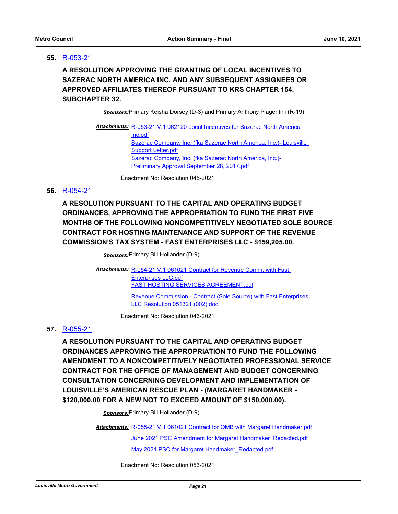# **55.** [R-053-21](http://louisville.legistar.com/gateway.aspx?m=l&id=/matter.aspx?key=56186)

**A RESOLUTION APPROVING THE GRANTING OF LOCAL INCENTIVES TO SAZERAC NORTH AMERICA INC. AND ANY SUBSEQUENT ASSIGNEES OR APPROVED AFFILIATES THEREOF PURSUANT TO KRS CHAPTER 154, SUBCHAPTER 32.**

*Sponsors:*Primary Keisha Dorsey (D-3) and Primary Anthony Piagentini (R-19)

Attachments: R-053-21 V.1 062120 Local Incentives for Sazerac North America Inc.pdf [Sazerac Company, Inc. \(fka Sazerac North America, Inc.\)- Louisville](http://louisville.legistar.com/gateway.aspx?M=F&ID=abe9e713-0550-4bf8-9ff8-f1ae5ddfd506.pdf)  Support Letter.pdf [Sazerac Company, Inc. \(fka Sazerac North America, Inc.\)-](http://louisville.legistar.com/gateway.aspx?M=F&ID=3ffefdbb-2bb1-4094-aa04-e58e09249c95.pdf)  Preliminary Approval September 28, 2017.pdf

Enactment No: Resolution 045-2021

#### **56.** [R-054-21](http://louisville.legistar.com/gateway.aspx?m=l&id=/matter.aspx?key=56191)

**A RESOLUTION PURSUANT TO THE CAPITAL AND OPERATING BUDGET ORDINANCES, APPROVING THE APPROPRIATION TO FUND THE FIRST FIVE MONTHS OF THE FOLLOWING NONCOMPETITIVELY NEGOTIATED SOLE SOURCE CONTRACT FOR HOSTING MAINTENANCE AND SUPPORT OF THE REVENUE COMMISSION'S TAX SYSTEM - FAST ENTERPRISES LLC - \$159,205.00.**

*Sponsors:*Primary Bill Hollander (D-9)

Attachments: R-054-21 V.1 061021 Contract for Revenue Comm. with Fast Enterprises LLC.pdf [FAST HOSTING SERVICES AGREEMENT.pdf](http://louisville.legistar.com/gateway.aspx?M=F&ID=00c7b016-a32d-4ef7-a994-6e1f7fb6c82b.pdf) [Revenue Commission - Contract \(Sole Source\) with Fast Enterprises](http://louisville.legistar.com/gateway.aspx?M=F&ID=e977d667-88da-4389-ae1c-cdcb33251f96.doc)  LLC Resolution 051321 (002).doc

Enactment No: Resolution 046-2021

#### **57.** [R-055-21](http://louisville.legistar.com/gateway.aspx?m=l&id=/matter.aspx?key=56193)

**A RESOLUTION PURSUANT TO THE CAPITAL AND OPERATING BUDGET ORDINANCES APPROVING THE APPROPRIATION TO FUND THE FOLLOWING AMENDMENT TO A NONCOMPETITIVELY NEGOTIATED PROFESSIONAL SERVICE CONTRACT FOR THE OFFICE OF MANAGEMENT AND BUDGET CONCERNING CONSULTATION CONCERNING DEVELOPMENT AND IMPLEMENTATION OF LOUISVILLE'S AMERICAN RESCUE PLAN - (MARGARET HANDMAKER - \$120,000.00 FOR A NEW NOT TO EXCEED AMOUNT OF \$150,000.00).**

*Sponsors:*Primary Bill Hollander (D-9)

Attachments: [R-055-21 V.1 061021 Contract for OMB with Margaret Handmaker.pdf](http://louisville.legistar.com/gateway.aspx?M=F&ID=49edeca4-76a2-4f2e-9d15-d0c216b1ed49.pdf) [June 2021 PSC Amendment for Margaret Handmaker\\_Redacted.pdf](http://louisville.legistar.com/gateway.aspx?M=F&ID=42254c39-9540-4057-adc3-a1d96455abc1.pdf) [May 2021 PSC for Margaret Handmaker\\_Redacted.pdf](http://louisville.legistar.com/gateway.aspx?M=F&ID=77847c67-271d-411b-9706-3c87b1283ee1.pdf)

Enactment No: Resolution 053-2021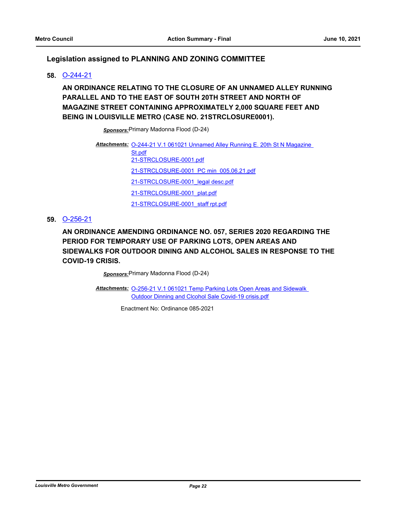# **Legislation assigned to PLANNING AND ZONING COMMITTEE**

#### **58.** [O-244-21](http://louisville.legistar.com/gateway.aspx?m=l&id=/matter.aspx?key=56111)

**AN ORDINANCE RELATING TO THE CLOSURE OF AN UNNAMED ALLEY RUNNING PARALLEL AND TO THE EAST OF SOUTH 20TH STREET AND NORTH OF MAGAZINE STREET CONTAINING APPROXIMATELY 2,000 SQUARE FEET AND BEING IN LOUISVILLE METRO (CASE NO. 21STRCLOSURE0001).**

*Sponsors:*Primary Madonna Flood (D-24)

Attachments: O-244-21 V.1 061021 Unnamed Alley Running E. 20th St N Magazine St.pdf [21-STRCLOSURE-0001.pdf](http://louisville.legistar.com/gateway.aspx?M=F&ID=e94c20d2-5b71-4384-8dfa-37f06be85d09.pdf) [21-STRCLOSURE-0001\\_PC min\\_005.06.21.pdf](http://louisville.legistar.com/gateway.aspx?M=F&ID=13fecc54-0f88-4ba1-811e-f16a325840f2.pdf) [21-STRCLOSURE-0001\\_legal desc.pdf](http://louisville.legistar.com/gateway.aspx?M=F&ID=bd1ab930-fb48-4f4c-997c-e0a98b781c14.pdf) [21-STRCLOSURE-0001\\_plat.pdf](http://louisville.legistar.com/gateway.aspx?M=F&ID=8035d399-38ea-46d9-b74e-84641baeee5b.pdf) [21-STRCLOSURE-0001\\_staff rpt.pdf](http://louisville.legistar.com/gateway.aspx?M=F&ID=fe5b6e61-e44a-4379-a1b4-18bc7c0f3368.pdf)

# **59.** [O-256-21](http://louisville.legistar.com/gateway.aspx?m=l&id=/matter.aspx?key=56175)

**AN ORDINANCE AMENDING ORDINANCE NO. 057, SERIES 2020 REGARDING THE PERIOD FOR TEMPORARY USE OF PARKING LOTS, OPEN AREAS AND SIDEWALKS FOR OUTDOOR DINING AND ALCOHOL SALES IN RESPONSE TO THE COVID-19 CRISIS.**

*Sponsors:*Primary Madonna Flood (D-24)

Attachments: O-256-21 V.1 061021 Temp Parking Lots Open Areas and Sidewalk Outdoor Dinning and Clcohol Sale Covid-19 crisis.pdf

Enactment No: Ordinance 085-2021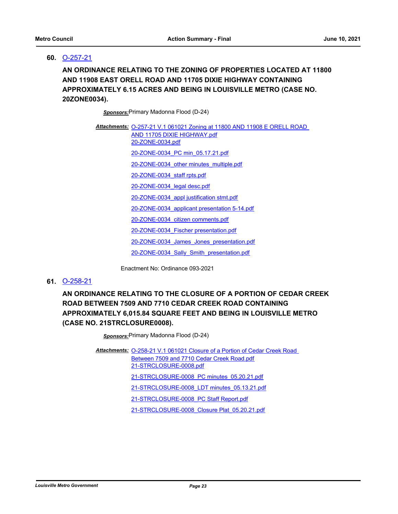## **60.** [O-257-21](http://louisville.legistar.com/gateway.aspx?m=l&id=/matter.aspx?key=56187)

**AN ORDINANCE RELATING TO THE ZONING OF PROPERTIES LOCATED AT 11800 AND 11908 EAST ORELL ROAD AND 11705 DIXIE HIGHWAY CONTAINING APPROXIMATELY 6.15 ACRES AND BEING IN LOUISVILLE METRO (CASE NO. 20ZONE0034).**

*Sponsors:*Primary Madonna Flood (D-24)

| Attachments: O-257-21 V.1 061021 Zoning at 11800 AND 11908 E ORELL ROAD<br>AND 11705 DIXIE HIGHWAY.pdf |  |
|--------------------------------------------------------------------------------------------------------|--|
| 20-ZONE-0034.pdf                                                                                       |  |
| 20-ZONE-0034 PC min 05.17.21.pdf                                                                       |  |
| 20-ZONE-0034 other minutes multiple.pdf                                                                |  |
| 20-ZONE-0034 staff rpts.pdf                                                                            |  |
| 20-ZONE-0034 legal desc.pdf                                                                            |  |
| 20-ZONE-0034 appl justification stmt.pdf                                                               |  |
| 20-ZONE-0034 applicant presentation 5-14.pdf                                                           |  |
| 20-ZONE-0034 citizen comments.pdf                                                                      |  |
| 20-ZONE-0034 Fischer presentation.pdf                                                                  |  |
| 20-ZONE-0034 James Jones presentation.pdf                                                              |  |
| 20-ZONE-0034 Sally Smith presentation.pdf                                                              |  |

Enactment No: Ordinance 093-2021

#### **61.** [O-258-21](http://louisville.legistar.com/gateway.aspx?m=l&id=/matter.aspx?key=56197)

**AN ORDINANCE RELATING TO THE CLOSURE OF A PORTION OF CEDAR CREEK ROAD BETWEEN 7509 AND 7710 CEDAR CREEK ROAD CONTAINING APPROXIMATELY 6,015.84 SQUARE FEET AND BEING IN LOUISVILLE METRO (CASE NO. 21STRCLOSURE0008).**

*Sponsors:*Primary Madonna Flood (D-24)

Attachments: O-258-21 V.1 061021 Closure of a Portion of Cedar Creek Road Between 7509 and 7710 Cedar Creek Road.pdf [21-STRCLOSURE-0008.pdf](http://louisville.legistar.com/gateway.aspx?M=F&ID=637bc034-31c8-4003-8367-b3896503cc45.pdf) [21-STRCLOSURE-0008\\_PC minutes\\_05.20.21.pdf](http://louisville.legistar.com/gateway.aspx?M=F&ID=d6be244b-dc2e-49ee-aeb6-11dbc8f33cd7.pdf) [21-STRCLOSURE-0008\\_LDT minutes\\_05.13.21.pdf](http://louisville.legistar.com/gateway.aspx?M=F&ID=7220ec55-c4d6-4ba7-802d-ad115da3a713.pdf) [21-STRCLOSURE-0008\\_PC Staff Report.pdf](http://louisville.legistar.com/gateway.aspx?M=F&ID=7f78b057-d9d3-49a4-8225-9d15def3ed07.pdf) [21-STRCLOSURE-0008\\_Closure Plat\\_05.20.21.pdf](http://louisville.legistar.com/gateway.aspx?M=F&ID=76b4d566-852e-4e6a-8de8-91ace8569160.pdf)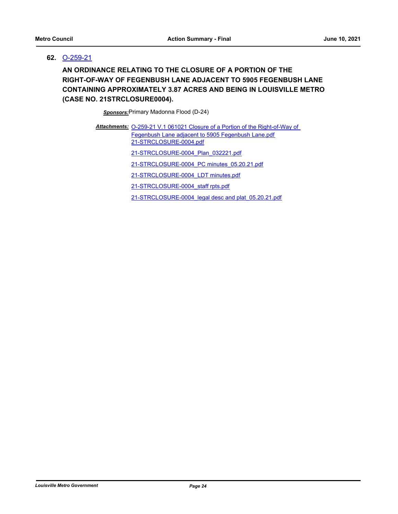# **62.** [O-259-21](http://louisville.legistar.com/gateway.aspx?m=l&id=/matter.aspx?key=56198)

**AN ORDINANCE RELATING TO THE CLOSURE OF A PORTION OF THE RIGHT-OF-WAY OF FEGENBUSH LANE ADJACENT TO 5905 FEGENBUSH LANE CONTAINING APPROXIMATELY 3.87 ACRES AND BEING IN LOUISVILLE METRO (CASE NO. 21STRCLOSURE0004).**

*Sponsors:*Primary Madonna Flood (D-24)

| Attachments: O-259-21 V.1 061021 Closure of a Portion of the Right-of-Way of |
|------------------------------------------------------------------------------|
| Fegenbush Lane adjacent to 5905 Fegenbush Lane.pdf<br>21-STRCLOSURE-0004.pdf |
| 21-STRCLOSURE-0004 Plan 032221.pdf                                           |
| 21-STRCLOSURE-0004 PC minutes 05.20.21.pdf                                   |
| 21-STRCLOSURE-0004 LDT minutes.pdf                                           |
| 21-STRCLOSURE-0004 staff rpts.pdf                                            |
|                                                                              |

[21-STRCLOSURE-0004\\_legal desc and plat\\_05.20.21.pdf](http://louisville.legistar.com/gateway.aspx?M=F&ID=f9b617bd-5b2c-40e5-9c43-392d98041eff.pdf)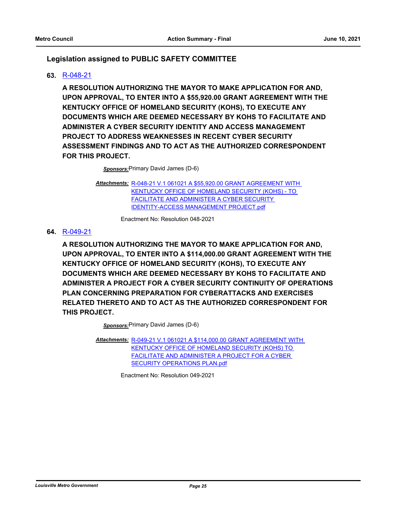# **Legislation assigned to PUBLIC SAFETY COMMITTEE**

# **63.** [R-048-21](http://louisville.legistar.com/gateway.aspx?m=l&id=/matter.aspx?key=56109)

**A RESOLUTION AUTHORIZING THE MAYOR TO MAKE APPLICATION FOR AND, UPON APPROVAL, TO ENTER INTO A \$55,920.00 GRANT AGREEMENT WITH THE KENTUCKY OFFICE OF HOMELAND SECURITY (KOHS), TO EXECUTE ANY DOCUMENTS WHICH ARE DEEMED NECESSARY BY KOHS TO FACILITATE AND ADMINISTER A CYBER SECURITY IDENTITY AND ACCESS MANAGEMENT PROJECT TO ADDRESS WEAKNESSES IN RECENT CYBER SECURITY ASSESSMENT FINDINGS AND TO ACT AS THE AUTHORIZED CORRESPONDENT FOR THIS PROJECT.**

*Sponsors:*Primary David James (D-6)

[R-048-21 V.1 061021 A \\$55,920.00 GRANT AGREEMENT WITH](http://louisville.legistar.com/gateway.aspx?M=F&ID=45436779-d0e3-474b-9da0-b4f15af6c483.pdf)  *Attachments:* KENTUCKY OFFICE OF HOMELAND SECURITY (KOHS) - TO FACILITATE AND ADMINISTER A CYBER SECURITY IDENTITY-ACCESS MANAGEMENT PROJECT.pdf

Enactment No: Resolution 048-2021

#### **64.** [R-049-21](http://louisville.legistar.com/gateway.aspx?m=l&id=/matter.aspx?key=56103)

**A RESOLUTION AUTHORIZING THE MAYOR TO MAKE APPLICATION FOR AND, UPON APPROVAL, TO ENTER INTO A \$114,000.00 GRANT AGREEMENT WITH THE KENTUCKY OFFICE OF HOMELAND SECURITY (KOHS), TO EXECUTE ANY DOCUMENTS WHICH ARE DEEMED NECESSARY BY KOHS TO FACILITATE AND ADMINISTER A PROJECT FOR A CYBER SECURITY CONTINUITY OF OPERATIONS PLAN CONCERNING PREPARATION FOR CYBERATTACKS AND EXERCISES RELATED THERETO AND TO ACT AS THE AUTHORIZED CORRESPONDENT FOR THIS PROJECT.**

*Sponsors:*Primary David James (D-6)

[R-049-21 V.1 061021 A \\$114,000.00 GRANT AGREEMENT WITH](http://louisville.legistar.com/gateway.aspx?M=F&ID=bb5f995a-2cc5-4243-b2ed-9c1688c97be1.pdf)  *Attachments:* KENTUCKY OFFICE OF HOMELAND SECURITY (KOHS) TO FACILITATE AND ADMINISTER A PROJECT FOR A CYBER SECURITY OPERATIONS PLAN.pdf

Enactment No: Resolution 049-2021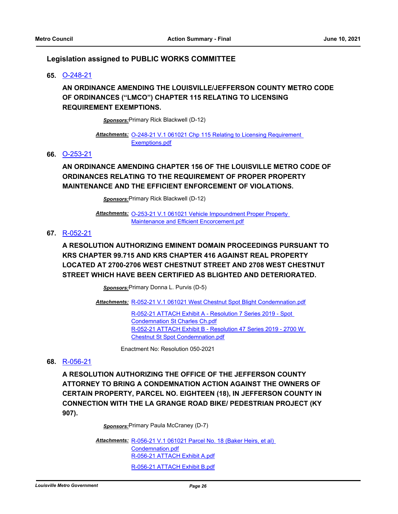#### **Legislation assigned to PUBLIC WORKS COMMITTEE**

**65.** [O-248-21](http://louisville.legistar.com/gateway.aspx?m=l&id=/matter.aspx?key=56155)

# **AN ORDINANCE AMENDING THE LOUISVILLE/JEFFERSON COUNTY METRO CODE OF ORDINANCES ("LMCO") CHAPTER 115 RELATING TO LICENSING REQUIREMENT EXEMPTIONS.**

*Sponsors:*Primary Rick Blackwell (D-12)

Attachments: **O-248-21 V.1 061021 Chp 115 Relating to Licensing Requirement** Exemptions.pdf

#### **66.** [O-253-21](http://louisville.legistar.com/gateway.aspx?m=l&id=/matter.aspx?key=56161)

**AN ORDINANCE AMENDING CHAPTER 156 OF THE LOUISVILLE METRO CODE OF ORDINANCES RELATING TO THE REQUIREMENT OF PROPER PROPERTY MAINTENANCE AND THE EFFICIENT ENFORCEMENT OF VIOLATIONS.**

*Sponsors:*Primary Rick Blackwell (D-12)

Attachments: O-253-21 V.1 061021 Vehicle Impoundment Proper Property Maintenance and Efficient Encorcement.pdf

#### **67.** [R-052-21](http://louisville.legistar.com/gateway.aspx?m=l&id=/matter.aspx?key=56185)

# **A RESOLUTION AUTHORIZING EMINENT DOMAIN PROCEEDINGS PURSUANT TO KRS CHAPTER 99.715 AND KRS CHAPTER 416 AGAINST REAL PROPERTY LOCATED AT 2700-2706 WEST CHESTNUT STREET AND 2708 WEST CHESTNUT STREET WHICH HAVE BEEN CERTIFIED AS BLIGHTED AND DETERIORATED.**

*Sponsors:*Primary Donna L. Purvis (D-5)

Attachments: [R-052-21 V.1 061021 West Chestnut Spot Blight Condemnation.pdf](http://louisville.legistar.com/gateway.aspx?M=F&ID=daa4f4e4-df41-4fdc-b833-968ba9ab483d.pdf)

[R-052-21 ATTACH Exhibit A - Resolution 7 Series 2019 - Spot](http://louisville.legistar.com/gateway.aspx?M=F&ID=910f3b55-9a73-4355-909e-35bd13f42a26.pdf)  Condemnation St Charles Ch.pdf [R-052-21 ATTACH Exhibit B - Resolution 47 Series 2019 - 2700 W](http://louisville.legistar.com/gateway.aspx?M=F&ID=20be05cc-b78d-4848-944d-d8ceb44ea5c4.pdf)  Chestnut St Spot Condemnation.pdf

Enactment No: Resolution 050-2021

#### **68.** [R-056-21](http://louisville.legistar.com/gateway.aspx?m=l&id=/matter.aspx?key=56201)

**A RESOLUTION AUTHORIZING THE OFFICE OF THE JEFFERSON COUNTY ATTORNEY TO BRING A CONDEMNATION ACTION AGAINST THE OWNERS OF CERTAIN PROPERTY, PARCEL NO. EIGHTEEN (18), IN JEFFERSON COUNTY IN CONNECTION WITH THE LA GRANGE ROAD BIKE/ PEDESTRIAN PROJECT (KY 907).**

*Sponsors:*Primary Paula McCraney (D-7)

Attachments: R-056-21 V.1 061021 Parcel No. 18 (Baker Heirs, et al) Condemnation.pdf [R-056-21 ATTACH Exhibit A.pdf](http://louisville.legistar.com/gateway.aspx?M=F&ID=7ee56443-2eb8-4d78-babb-e091f11e649e.pdf) [R-056-21 ATTACH Exhibit B.pdf](http://louisville.legistar.com/gateway.aspx?M=F&ID=a98ce3e6-3c76-455f-91db-c3c1dcebdb89.pdf)